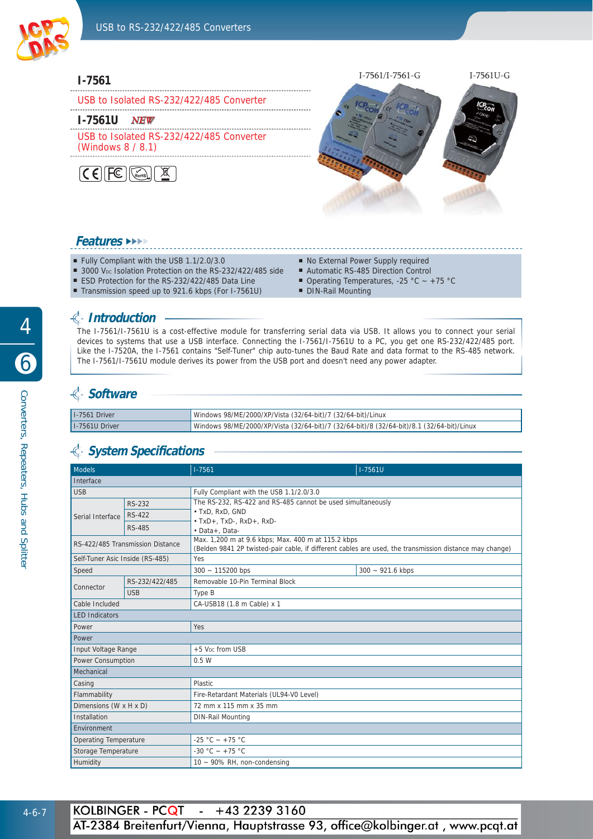

#### **I-7561**

USB to Isolated RS-232/422/485 Converter

#### **I-7561U** *NEW*

USB to Isolated RS-232/422/485 Converter

(Windows 8 / 8.1)





#### **Features** ►►►►

- Fully Compliant with the USB 1.1/2.0/3.0
- 3000 V<sub>DC</sub> Isolation Protection on the RS-232/422/485 side
- ESD Protection for the RS-232/422/485 Data Line
- Transmission speed up to 921.6 kbps (For I-7561U)
- No External Power Supply required
- Automatic RS-485 Direction Control
- Operating Temperatures, -25 °C ~ +75 °C
- DIN-Rail Mounting

### **Introduction**

The I-7561/I-7561U is a cost-effective module for transferring serial data via USB. It allows you to connect your serial devices to systems that use a USB interface. Connecting the I-7561/I-7561U to a PC, you get one RS-232/422/485 port. Like the I-7520A, the I-7561 contains "Self-Tuner" chip auto-tunes the Baud Rate and data format to the RS-485 network. The I-7561/I-7561U module derives its power from the USB port and doesn't need any power adapter.

## **€ Software**

| I-7561 Driver  | Vindows 98/ME/2000/XP/Vista (32/64-bit)/7 (32/64-bit)/Linux                               |
|----------------|-------------------------------------------------------------------------------------------|
| I-7561U Driver | Windows 98/ME/2000/XP/Vista (32/64-bit)/7 (32/64-bit)/8 (32/64-bit)/8.1 (32/64-bit)/Linux |

## **System Specifi cations**

| <b>Models</b>                    |                | $1 - 7561$                                                                                                                                                                      | $1 - 7561U$        |  |
|----------------------------------|----------------|---------------------------------------------------------------------------------------------------------------------------------------------------------------------------------|--------------------|--|
| Interface                        |                |                                                                                                                                                                                 |                    |  |
| <b>USB</b>                       |                | Fully Compliant with the USB 1.1/2.0/3.0                                                                                                                                        |                    |  |
| Serial Interface                 | RS-232         | The RS-232, RS-422 and RS-485 cannot be used simultaneously                                                                                                                     |                    |  |
|                                  | <b>RS-422</b>  | · TxD, RxD, GND                                                                                                                                                                 |                    |  |
|                                  | <b>RS-485</b>  | $\cdot$ TxD+, TxD-, RxD+, RxD-                                                                                                                                                  |                    |  |
| RS-422/485 Transmission Distance |                | · Data+, Data-<br>Max. 1,200 m at 9.6 kbps; Max. 400 m at 115.2 kbps<br>(Belden 9841 2P twisted-pair cable, if different cables are used, the transmission distance may change) |                    |  |
| Self-Tuner Asic Inside (RS-485)  |                | <b>Yes</b>                                                                                                                                                                      |                    |  |
| Speed                            |                | $300 - 115200$ bps                                                                                                                                                              | $300 - 921.6$ kbps |  |
| Connector                        | RS-232/422/485 | Removable 10-Pin Terminal Block                                                                                                                                                 |                    |  |
|                                  | <b>USB</b>     | Type B                                                                                                                                                                          |                    |  |
| Cable Included                   |                | CA-USB18 (1.8 m Cable) x 1                                                                                                                                                      |                    |  |
| <b>LED Indicators</b>            |                |                                                                                                                                                                                 |                    |  |
| Power                            |                | <b>Yes</b>                                                                                                                                                                      |                    |  |
| Power                            |                |                                                                                                                                                                                 |                    |  |
| Input Voltage Range              |                | +5 V <sub>pc</sub> from USB                                                                                                                                                     |                    |  |
| Power Consumption                |                | 0.5W                                                                                                                                                                            |                    |  |
| Mechanical                       |                |                                                                                                                                                                                 |                    |  |
| Casing                           |                | <b>Plastic</b>                                                                                                                                                                  |                    |  |
| Flammability                     |                | Fire-Retardant Materials (UL94-V0 Level)                                                                                                                                        |                    |  |
| Dimensions (W x H x D)           |                | 72 mm x 115 mm x 35 mm                                                                                                                                                          |                    |  |
| Installation                     |                | <b>DIN-Rail Mounting</b>                                                                                                                                                        |                    |  |
| Environment                      |                |                                                                                                                                                                                 |                    |  |
| <b>Operating Temperature</b>     |                | -25 °C ~ +75 °C                                                                                                                                                                 |                    |  |
| Storage Temperature              |                | -30 °C ~ +75 °C                                                                                                                                                                 |                    |  |
| Humidity                         |                | 10 ~ 90% RH, non-condensing                                                                                                                                                     |                    |  |

4